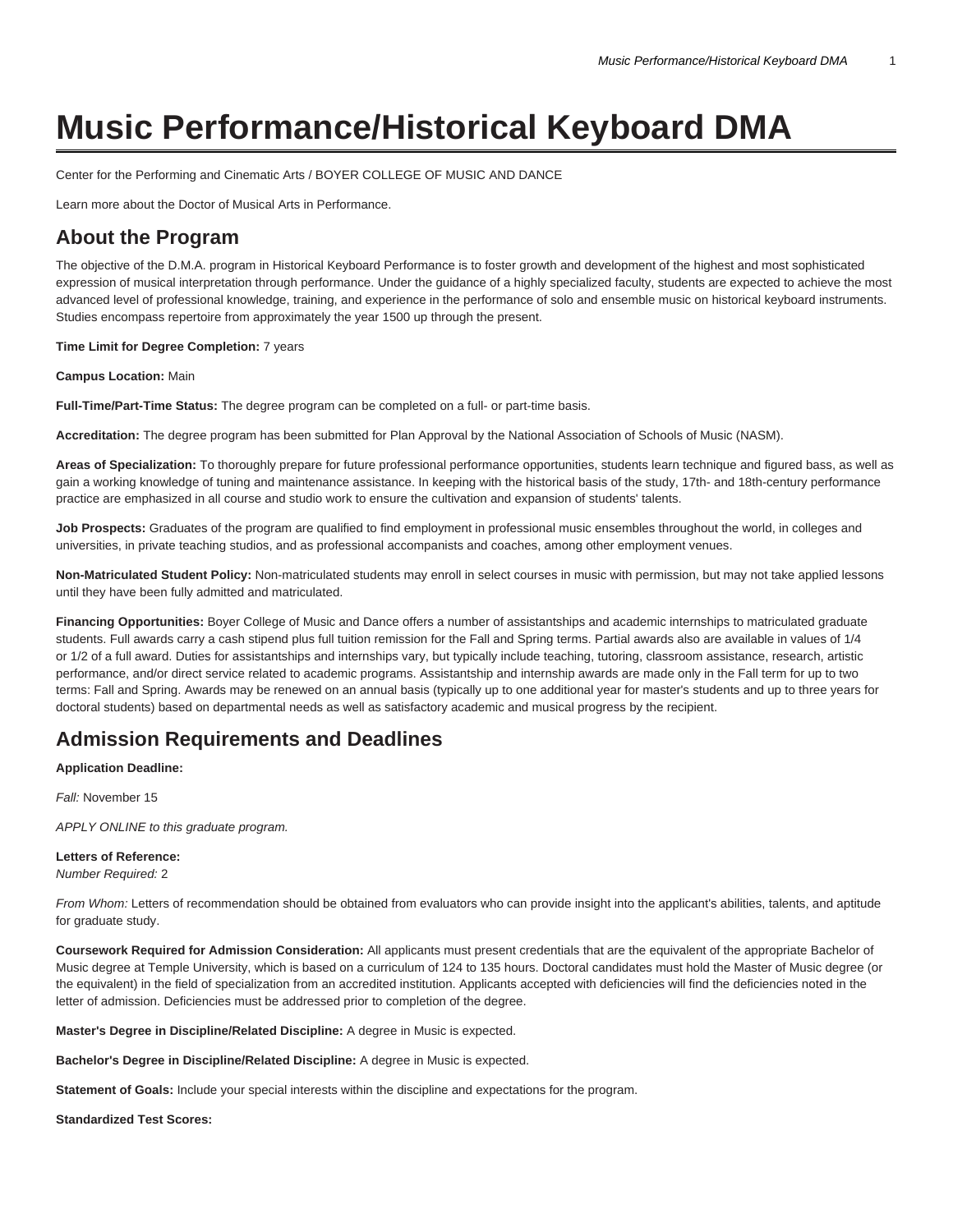# **Music Performance/Historical Keyboard DMA**

[Center for the Performing and Cinematic Arts / BOYER COLLEGE OF MUSIC AND DANCE](https://www.temple.edu/boyer/)

[Learn more about the Doctor of Musical Arts in Performance](https://www.temple.edu/academics/degree-programs/performance-dma-bc-perf-dma/).

# **About the Program**

The objective of the D.M.A. program in Historical Keyboard Performance is to foster growth and development of the highest and most sophisticated expression of musical interpretation through performance. Under the guidance of a highly specialized faculty, students are expected to achieve the most advanced level of professional knowledge, training, and experience in the performance of solo and ensemble music on historical keyboard instruments. Studies encompass repertoire from approximately the year 1500 up through the present.

#### **Time Limit for Degree Completion:** 7 years

**Campus Location:** Main

**Full-Time/Part-Time Status:** The degree program can be completed on a full- or part-time basis.

**Accreditation:** The degree program has been submitted for Plan Approval by the National Association of Schools of Music (NASM).

**Areas of Specialization:** To thoroughly prepare for future professional performance opportunities, students learn technique and figured bass, as well as gain a working knowledge of tuning and maintenance assistance. In keeping with the historical basis of the study, 17th- and 18th-century performance practice are emphasized in all course and studio work to ensure the cultivation and expansion of students' talents.

**Job Prospects:** Graduates of the program are qualified to find employment in professional music ensembles throughout the world, in colleges and universities, in private teaching studios, and as professional accompanists and coaches, among other employment venues.

**Non-Matriculated Student Policy:** Non-matriculated students may enroll in select courses in music with permission, but may not take applied lessons until they have been fully admitted and matriculated.

**Financing Opportunities:** Boyer College of Music and Dance offers a number of assistantships and academic internships to matriculated graduate students. Full awards carry a cash stipend plus full tuition remission for the Fall and Spring terms. Partial awards also are available in values of 1/4 or 1/2 of a full award. Duties for assistantships and internships vary, but typically include teaching, tutoring, classroom assistance, research, artistic performance, and/or direct service related to academic programs. Assistantship and internship awards are made only in the Fall term for up to two terms: Fall and Spring. Awards may be renewed on an annual basis (typically up to one additional year for master's students and up to three years for doctoral students) based on departmental needs as well as satisfactory academic and musical progress by the recipient.

# **Admission Requirements and Deadlines**

**Application Deadline:**

Fall: November 15

APPLY ONLINE to this graduate program.

#### **Letters of Reference:**

Number Required: 2

From Whom: Letters of recommendation should be obtained from evaluators who can provide insight into the applicant's abilities, talents, and aptitude for graduate study.

**Coursework Required for Admission Consideration:** All applicants must present credentials that are the equivalent of the appropriate Bachelor of Music degree at Temple University, which is based on a curriculum of 124 to 135 hours. Doctoral candidates must hold the Master of Music degree (or the equivalent) in the field of specialization from an accredited institution. Applicants accepted with deficiencies will find the deficiencies noted in the letter of admission. Deficiencies must be addressed prior to completion of the degree.

**Master's Degree in Discipline/Related Discipline:** A degree in Music is expected.

**Bachelor's Degree in Discipline/Related Discipline:** A degree in Music is expected.

**Statement of Goals:** Include your special interests within the discipline and expectations for the program.

**Standardized Test Scores:**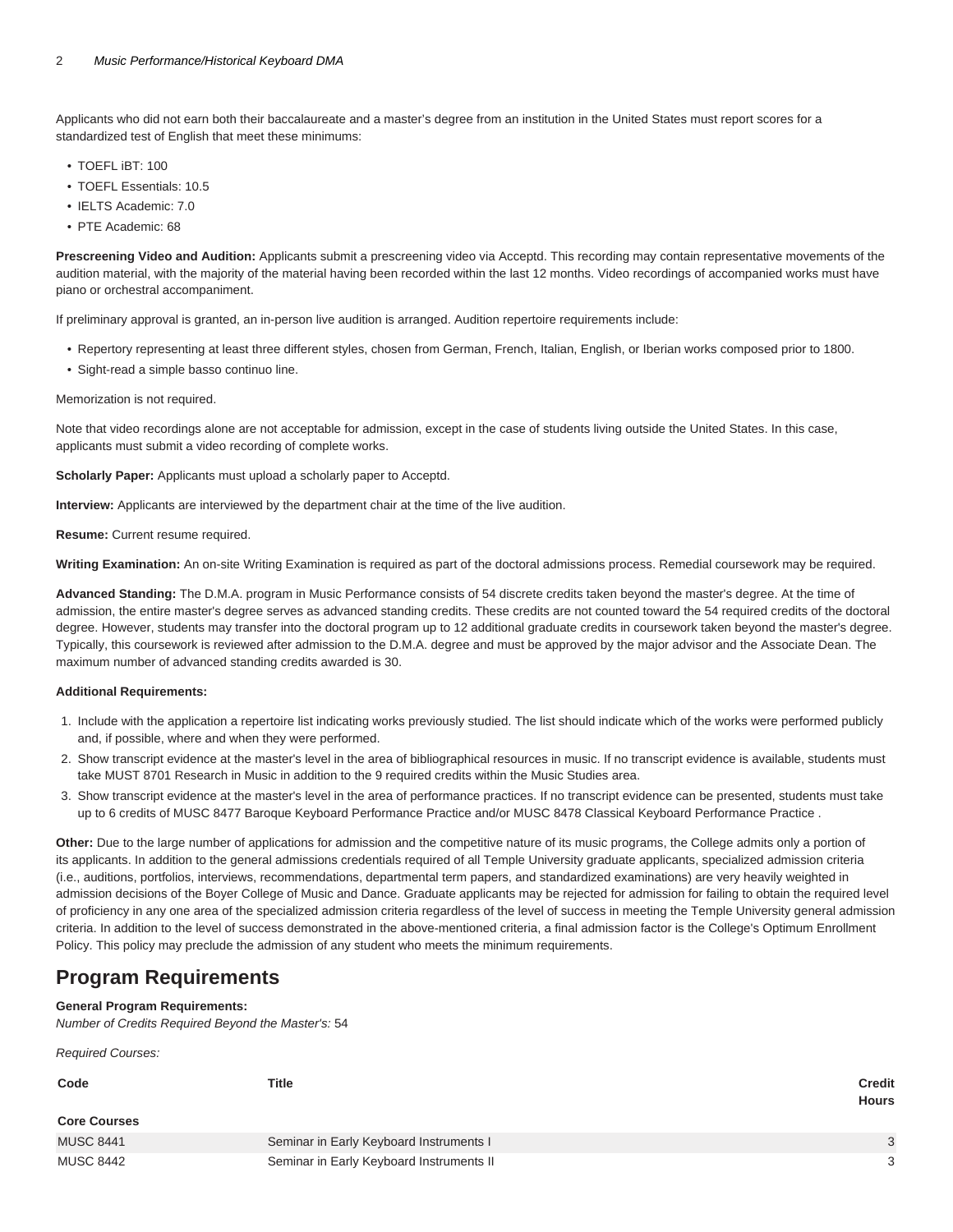Applicants who did not earn both their baccalaureate and a master's degree from an institution in the United States must report scores for a standardized test of English that meet these minimums:

- TOEFL iBT: 100
- TOEFL Essentials: 10.5
- IELTS Academic: 7.0
- PTE Academic: 68

**Prescreening Video and Audition:** Applicants submit a prescreening video via [Acceptd](https://app.getacceptd.com/templeboyer/). This recording may contain representative movements of the audition material, with the majority of the material having been recorded within the last 12 months. Video recordings of accompanied works must have piano or orchestral accompaniment.

If preliminary approval is granted, an in-person live audition is arranged. Audition repertoire requirements include:

- Repertory representing at least three different styles, chosen from German, French, Italian, English, or Iberian works composed prior to 1800.
- Sight-read a simple basso continuo line.

Memorization is not required.

Note that video recordings alone are not acceptable for admission, except in the case of students living outside the United States. In this case, applicants must submit a video recording of complete works.

**Scholarly Paper:** Applicants must upload a scholarly paper to [Acceptd](https://app.getacceptd.com/templeboyer/).

**Interview:** Applicants are interviewed by the department chair at the time of the live audition.

**Resume:** Current resume required.

**Writing Examination:** An on-site Writing Examination is required as part of the doctoral admissions process. Remedial coursework may be required.

**Advanced Standing:** The D.M.A. program in Music Performance consists of 54 discrete credits taken beyond the master's degree. At the time of admission, the entire master's degree serves as advanced standing credits. These credits are not counted toward the 54 required credits of the doctoral degree. However, students may transfer into the doctoral program up to 12 additional graduate credits in coursework taken beyond the master's degree. Typically, this coursework is reviewed after admission to the D.M.A. degree and must be approved by the major advisor and the Associate Dean. The maximum number of advanced standing credits awarded is 30.

#### **Additional Requirements:**

- 1. Include with the application a repertoire list indicating works previously studied. The list should indicate which of the works were performed publicly and, if possible, where and when they were performed.
- 2. Show transcript evidence at the master's level in the area of bibliographical resources in music. If no transcript evidence is available, students must take MUST 8701 Research in Music in addition to the 9 required credits within the Music Studies area.
- 3. Show transcript evidence at the master's level in the area of performance practices. If no transcript evidence can be presented, students must take up to 6 credits of MUSC 8477 Baroque Keyboard Performance Practice and/or MUSC 8478 Classical Keyboard Performance Practice .

**Other:** Due to the large number of applications for admission and the competitive nature of its music programs, the College admits only a portion of its applicants. In addition to the general admissions credentials required of all Temple University graduate applicants, specialized admission criteria (i.e., auditions, portfolios, interviews, recommendations, departmental term papers, and standardized examinations) are very heavily weighted in admission decisions of the Boyer College of Music and Dance. Graduate applicants may be rejected for admission for failing to obtain the required level of proficiency in any one area of the specialized admission criteria regardless of the level of success in meeting the Temple University general admission criteria. In addition to the level of success demonstrated in the above-mentioned criteria, a final admission factor is the College's Optimum Enrollment Policy. This policy may preclude the admission of any student who meets the minimum requirements.

# **Program Requirements**

#### **General Program Requirements:**

Number of Credits Required Beyond the Master's: 54

Required Courses:

| Code                | <b>Title</b>                             | <b>Credit</b> |
|---------------------|------------------------------------------|---------------|
| <b>Core Courses</b> |                                          | <b>Hours</b>  |
| <b>MUSC 8441</b>    | Seminar in Early Keyboard Instruments I  | 3             |
| <b>MUSC 8442</b>    | Seminar in Early Keyboard Instruments II | 3             |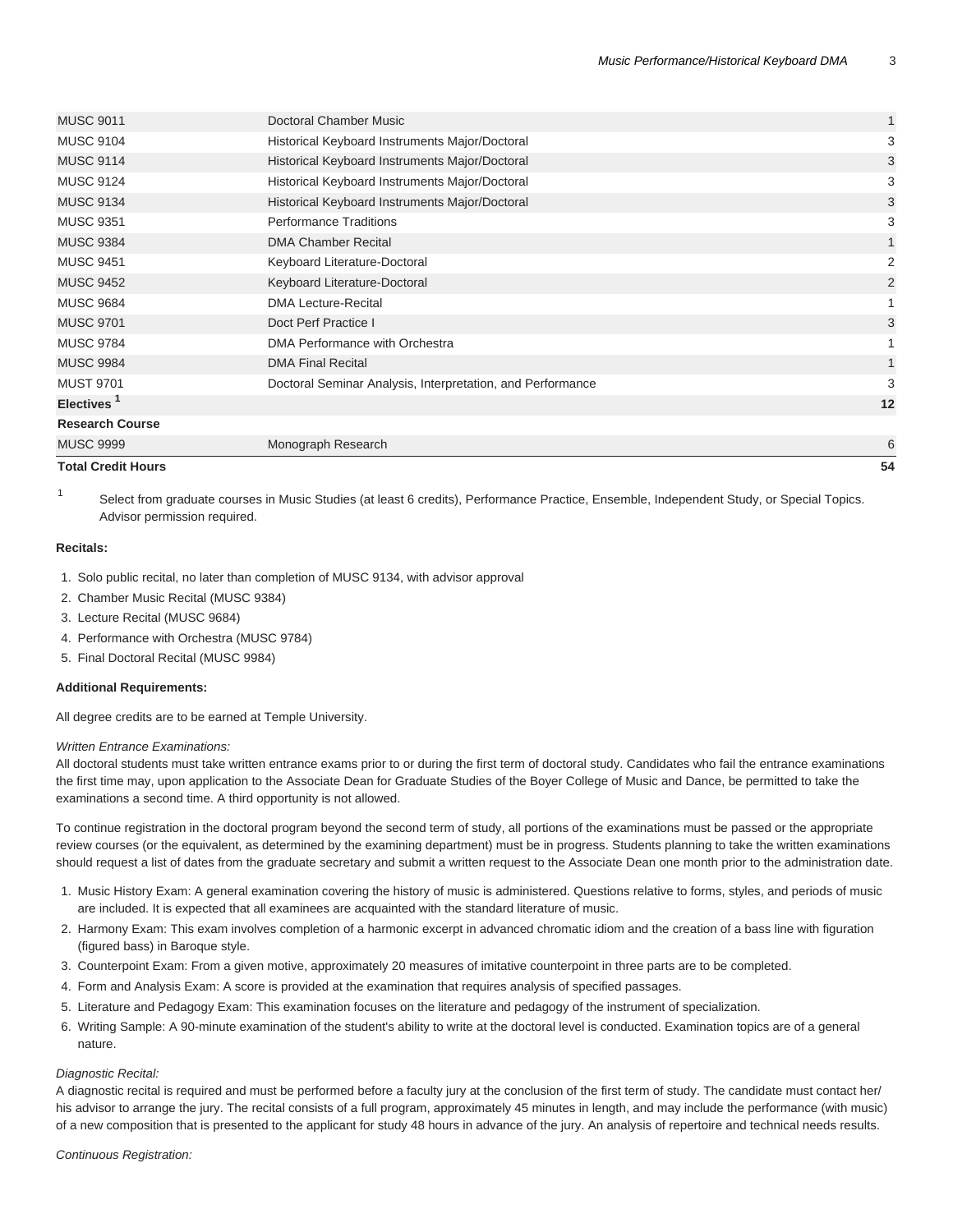| <b>Total Credit Hours</b> |                                                            | 54           |
|---------------------------|------------------------------------------------------------|--------------|
| <b>MUSC 9999</b>          | Monograph Research                                         | 6            |
| <b>Research Course</b>    |                                                            |              |
| Electives <sup>1</sup>    |                                                            | 12           |
| <b>MUST 9701</b>          | Doctoral Seminar Analysis, Interpretation, and Performance | 3            |
| <b>MUSC 9984</b>          | <b>DMA Final Recital</b>                                   | $\mathbf{1}$ |
| <b>MUSC 9784</b>          | DMA Performance with Orchestra                             | 1            |
| <b>MUSC 9701</b>          | Doct Perf Practice I                                       | 3            |
| <b>MUSC 9684</b>          | <b>DMA Lecture-Recital</b>                                 | 1            |
| <b>MUSC 9452</b>          | Keyboard Literature-Doctoral                               | 2            |
| <b>MUSC 9451</b>          | Keyboard Literature-Doctoral                               | 2            |
| <b>MUSC 9384</b>          | <b>DMA Chamber Recital</b>                                 | $\mathbf{1}$ |
| <b>MUSC 9351</b>          | <b>Performance Traditions</b>                              | 3            |
| <b>MUSC 9134</b>          | Historical Keyboard Instruments Major/Doctoral             | 3            |
| <b>MUSC 9124</b>          | Historical Keyboard Instruments Major/Doctoral             | 3            |
| <b>MUSC 9114</b>          | Historical Keyboard Instruments Major/Doctoral             | 3            |
| <b>MUSC 9104</b>          | Historical Keyboard Instruments Major/Doctoral             | 3            |
| <b>MUSC 9011</b>          | Doctoral Chamber Music                                     | $\mathbf{1}$ |
|                           |                                                            |              |

Select from graduate courses in Music Studies (at least 6 credits), Performance Practice, Ensemble, Independent Study, or Special Topics. Advisor permission required.

#### **Recitals:**

1

- 1. Solo public recital, no later than completion of MUSC 9134, with advisor approval
- 2. Chamber Music Recital (MUSC 9384)
- 3. Lecture Recital (MUSC 9684)
- 4. Performance with Orchestra (MUSC 9784)
- 5. Final Doctoral Recital (MUSC 9984)

#### **Additional Requirements:**

All degree credits are to be earned at Temple University.

#### Written Entrance Examinations:

All doctoral students must take written entrance exams prior to or during the first term of doctoral study. Candidates who fail the entrance examinations the first time may, upon application to the Associate Dean for Graduate Studies of the Boyer College of Music and Dance, be permitted to take the examinations a second time. A third opportunity is not allowed.

To continue registration in the doctoral program beyond the second term of study, all portions of the examinations must be passed or the appropriate review courses (or the equivalent, as determined by the examining department) must be in progress. Students planning to take the written examinations should request a list of dates from the graduate secretary and submit a written request to the Associate Dean one month prior to the administration date.

- 1. Music History Exam: A general examination covering the history of music is administered. Questions relative to forms, styles, and periods of music are included. It is expected that all examinees are acquainted with the standard literature of music.
- 2. Harmony Exam: This exam involves completion of a harmonic excerpt in advanced chromatic idiom and the creation of a bass line with figuration (figured bass) in Baroque style.
- 3. Counterpoint Exam: From a given motive, approximately 20 measures of imitative counterpoint in three parts are to be completed.
- 4. Form and Analysis Exam: A score is provided at the examination that requires analysis of specified passages.
- 5. Literature and Pedagogy Exam: This examination focuses on the literature and pedagogy of the instrument of specialization.
- 6. Writing Sample: A 90-minute examination of the student's ability to write at the doctoral level is conducted. Examination topics are of a general nature.

#### Diagnostic Recital:

A diagnostic recital is required and must be performed before a faculty jury at the conclusion of the first term of study. The candidate must contact her/ his advisor to arrange the jury. The recital consists of a full program, approximately 45 minutes in length, and may include the performance (with music) of a new composition that is presented to the applicant for study 48 hours in advance of the jury. An analysis of repertoire and technical needs results.

#### Continuous Registration: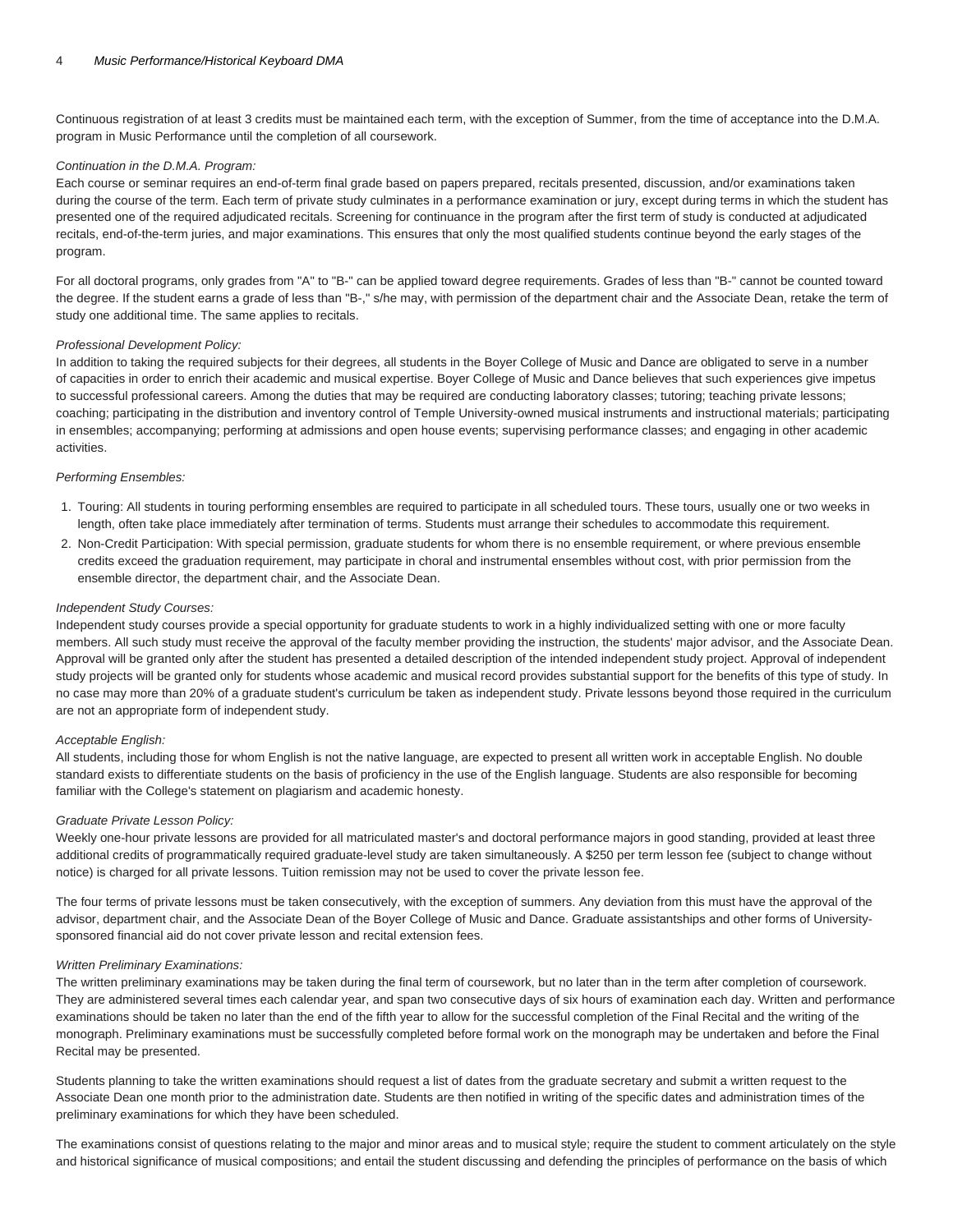Continuous registration of at least 3 credits must be maintained each term, with the exception of Summer, from the time of acceptance into the D.M.A. program in Music Performance until the completion of all coursework.

#### Continuation in the D.M.A. Program:

Each course or seminar requires an end-of-term final grade based on papers prepared, recitals presented, discussion, and/or examinations taken during the course of the term. Each term of private study culminates in a performance examination or jury, except during terms in which the student has presented one of the required adjudicated recitals. Screening for continuance in the program after the first term of study is conducted at adjudicated recitals, end-of-the-term juries, and major examinations. This ensures that only the most qualified students continue beyond the early stages of the program.

For all doctoral programs, only grades from "A" to "B-" can be applied toward degree requirements. Grades of less than "B-" cannot be counted toward the degree. If the student earns a grade of less than "B-," s/he may, with permission of the department chair and the Associate Dean, retake the term of study one additional time. The same applies to recitals.

#### Professional Development Policy:

In addition to taking the required subjects for their degrees, all students in the Boyer College of Music and Dance are obligated to serve in a number of capacities in order to enrich their academic and musical expertise. Boyer College of Music and Dance believes that such experiences give impetus to successful professional careers. Among the duties that may be required are conducting laboratory classes; tutoring; teaching private lessons; coaching; participating in the distribution and inventory control of Temple University-owned musical instruments and instructional materials; participating in ensembles; accompanying; performing at admissions and open house events; supervising performance classes; and engaging in other academic activities.

#### Performing Ensembles:

- 1. Touring: All students in touring performing ensembles are required to participate in all scheduled tours. These tours, usually one or two weeks in length, often take place immediately after termination of terms. Students must arrange their schedules to accommodate this requirement.
- 2. Non-Credit Participation: With special permission, graduate students for whom there is no ensemble requirement, or where previous ensemble credits exceed the graduation requirement, may participate in choral and instrumental ensembles without cost, with prior permission from the ensemble director, the department chair, and the Associate Dean.

#### Independent Study Courses:

Independent study courses provide a special opportunity for graduate students to work in a highly individualized setting with one or more faculty members. All such study must receive the approval of the faculty member providing the instruction, the students' major advisor, and the Associate Dean. Approval will be granted only after the student has presented a detailed description of the intended independent study project. Approval of independent study projects will be granted only for students whose academic and musical record provides substantial support for the benefits of this type of study. In no case may more than 20% of a graduate student's curriculum be taken as independent study. Private lessons beyond those required in the curriculum are not an appropriate form of independent study.

#### Acceptable English:

All students, including those for whom English is not the native language, are expected to present all written work in acceptable English. No double standard exists to differentiate students on the basis of proficiency in the use of the English language. Students are also responsible for becoming familiar with the College's statement on plagiarism and academic honesty.

#### Graduate Private Lesson Policy:

Weekly one-hour private lessons are provided for all matriculated master's and doctoral performance majors in good standing, provided at least three additional credits of programmatically required graduate-level study are taken simultaneously. A \$250 per term lesson fee (subject to change without notice) is charged for all private lessons. Tuition remission may not be used to cover the private lesson fee.

The four terms of private lessons must be taken consecutively, with the exception of summers. Any deviation from this must have the approval of the advisor, department chair, and the Associate Dean of the Boyer College of Music and Dance. Graduate assistantships and other forms of Universitysponsored financial aid do not cover private lesson and recital extension fees.

#### Written Preliminary Examinations:

The written preliminary examinations may be taken during the final term of coursework, but no later than in the term after completion of coursework. They are administered several times each calendar year, and span two consecutive days of six hours of examination each day. Written and performance examinations should be taken no later than the end of the fifth year to allow for the successful completion of the Final Recital and the writing of the monograph. Preliminary examinations must be successfully completed before formal work on the monograph may be undertaken and before the Final Recital may be presented.

Students planning to take the written examinations should request a list of dates from the graduate secretary and submit a written request to the Associate Dean one month prior to the administration date. Students are then notified in writing of the specific dates and administration times of the preliminary examinations for which they have been scheduled.

The examinations consist of questions relating to the major and minor areas and to musical style; require the student to comment articulately on the style and historical significance of musical compositions; and entail the student discussing and defending the principles of performance on the basis of which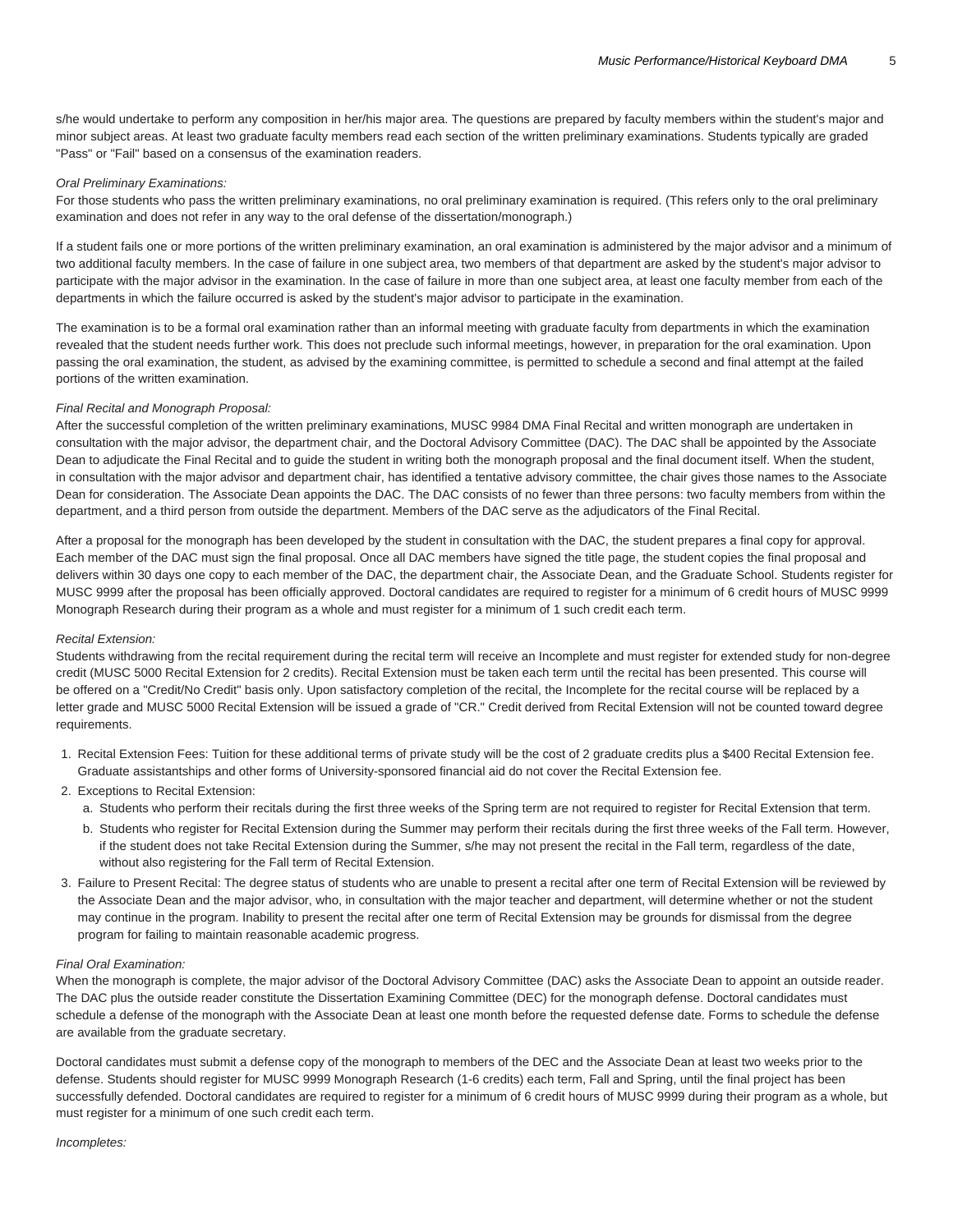s/he would undertake to perform any composition in her/his major area. The questions are prepared by faculty members within the student's major and minor subject areas. At least two graduate faculty members read each section of the written preliminary examinations. Students typically are graded "Pass" or "Fail" based on a consensus of the examination readers.

#### Oral Preliminary Examinations:

For those students who pass the written preliminary examinations, no oral preliminary examination is required. (This refers only to the oral preliminary examination and does not refer in any way to the oral defense of the dissertation/monograph.)

If a student fails one or more portions of the written preliminary examination, an oral examination is administered by the major advisor and a minimum of two additional faculty members. In the case of failure in one subject area, two members of that department are asked by the student's major advisor to participate with the major advisor in the examination. In the case of failure in more than one subject area, at least one faculty member from each of the departments in which the failure occurred is asked by the student's major advisor to participate in the examination.

The examination is to be a formal oral examination rather than an informal meeting with graduate faculty from departments in which the examination revealed that the student needs further work. This does not preclude such informal meetings, however, in preparation for the oral examination. Upon passing the oral examination, the student, as advised by the examining committee, is permitted to schedule a second and final attempt at the failed portions of the written examination.

#### Final Recital and Monograph Proposal:

After the successful completion of the written preliminary examinations, MUSC 9984 DMA Final Recital and written monograph are undertaken in consultation with the major advisor, the department chair, and the Doctoral Advisory Committee (DAC). The DAC shall be appointed by the Associate Dean to adjudicate the Final Recital and to guide the student in writing both the monograph proposal and the final document itself. When the student, in consultation with the major advisor and department chair, has identified a tentative advisory committee, the chair gives those names to the Associate Dean for consideration. The Associate Dean appoints the DAC. The DAC consists of no fewer than three persons: two faculty members from within the department, and a third person from outside the department. Members of the DAC serve as the adjudicators of the Final Recital.

After a proposal for the monograph has been developed by the student in consultation with the DAC, the student prepares a final copy for approval. Each member of the DAC must sign the final proposal. Once all DAC members have signed the title page, the student copies the final proposal and delivers within 30 days one copy to each member of the DAC, the department chair, the Associate Dean, and the Graduate School. Students register for MUSC 9999 after the proposal has been officially approved. Doctoral candidates are required to register for a minimum of 6 credit hours of MUSC 9999 Monograph Research during their program as a whole and must register for a minimum of 1 such credit each term.

#### Recital Extension:

Students withdrawing from the recital requirement during the recital term will receive an Incomplete and must register for extended study for non-degree credit (MUSC 5000 Recital Extension for 2 credits). Recital Extension must be taken each term until the recital has been presented. This course will be offered on a "Credit/No Credit" basis only. Upon satisfactory completion of the recital, the Incomplete for the recital course will be replaced by a letter grade and MUSC 5000 Recital Extension will be issued a grade of "CR." Credit derived from Recital Extension will not be counted toward degree requirements.

- 1. Recital Extension Fees: Tuition for these additional terms of private study will be the cost of 2 graduate credits plus a \$400 Recital Extension fee. Graduate assistantships and other forms of University-sponsored financial aid do not cover the Recital Extension fee.
- 2. Exceptions to Recital Extension:
	- a. Students who perform their recitals during the first three weeks of the Spring term are not required to register for Recital Extension that term.
	- b. Students who register for Recital Extension during the Summer may perform their recitals during the first three weeks of the Fall term. However, if the student does not take Recital Extension during the Summer, s/he may not present the recital in the Fall term, regardless of the date, without also registering for the Fall term of Recital Extension.
- 3. Failure to Present Recital: The degree status of students who are unable to present a recital after one term of Recital Extension will be reviewed by the Associate Dean and the major advisor, who, in consultation with the major teacher and department, will determine whether or not the student may continue in the program. Inability to present the recital after one term of Recital Extension may be grounds for dismissal from the degree program for failing to maintain reasonable academic progress.

#### Final Oral Examination:

When the monograph is complete, the major advisor of the Doctoral Advisory Committee (DAC) asks the Associate Dean to appoint an outside reader. The DAC plus the outside reader constitute the Dissertation Examining Committee (DEC) for the monograph defense. Doctoral candidates must schedule a defense of the monograph with the Associate Dean at least one month before the requested defense date. Forms to schedule the defense are available from the graduate secretary.

Doctoral candidates must submit a defense copy of the monograph to members of the DEC and the Associate Dean at least two weeks prior to the defense. Students should register for MUSC 9999 Monograph Research (1-6 credits) each term, Fall and Spring, until the final project has been successfully defended. Doctoral candidates are required to register for a minimum of 6 credit hours of MUSC 9999 during their program as a whole, but must register for a minimum of one such credit each term.

Incompletes: